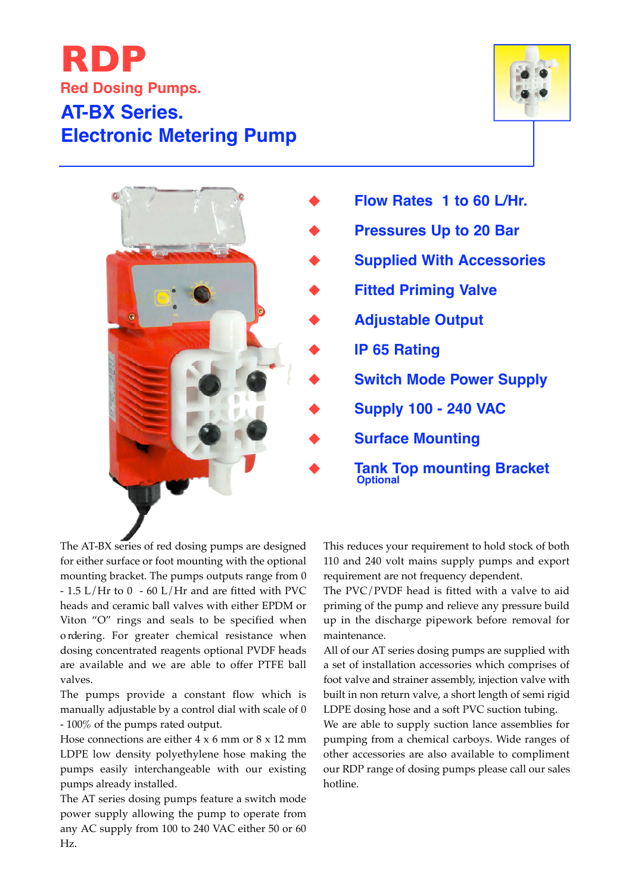## **AT-BX Series. Electronic Metering Pump RDP Red Dosing Pumps.**





The AT-BX series of red dosing pumps are designed for either surface or foot mounting with the optional mounting bracket. The pumps outputs range from 0 - 1.5 L/Hr to 0 - 60 L/Hr and are fitted with PVC heads and ceramic ball valves with either EPDM or Viton "O" rings and seals to be specified when o rdering. For greater chemical resistance when dosing concentrated reagents optional PVDF heads are available and we are able to offer PTFE ball valves.

The pumps provide a constant flow which is manually adjustable by a control dial with scale of 0 - 100% of the pumps rated output.

Hose connections are either 4 x 6 mm or 8 x 12 mm LDPE low density polyethylene hose making the pumps easily interchangeable with our existing pumps already installed.

The AT series dosing pumps feature a switch mode power supply allowing the pump to operate from any AC supply from 100 to 240 VAC either 50 or 60 Hz.

This reduces your requirement to hold stock of both 110 and 240 volt mains supply pumps and export requirement are not frequency dependent.

The PVC/PVDF head is fitted with a valve to aid priming of the pump and relieve any pressure build up in the discharge pipework before removal for maintenance.

All of our AT series dosing pumps are supplied with a set of installation accessories which comprises of foot valve and strainer assembly, injection valve with built in non return valve, a short length of semi rigid LDPE dosing hose and a soft PVC suction tubing.

We are able to supply suction lance assemblies for pumping from a chemical carboys. Wide ranges of other accessories are also available to compliment our RDP range of dosing pumps please call our sales hotline.